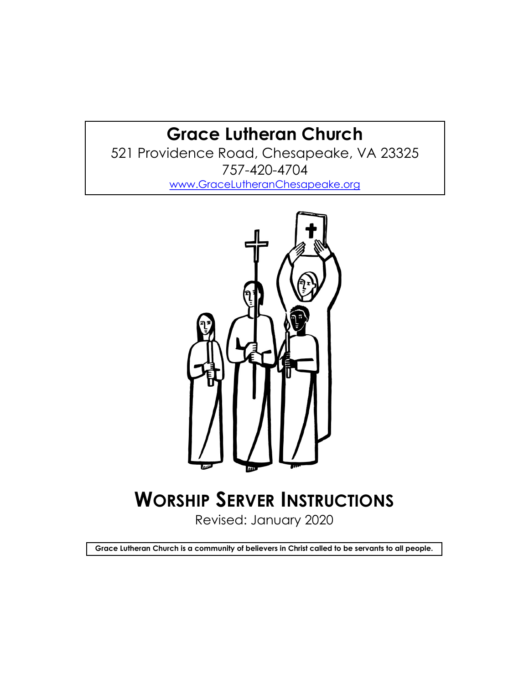## Grace Lutheran Church

521 Providence Road, Chesapeake, VA 23325 757-420-4704 www.GraceLutheranChesapeake.org



# WORSHIP SERVER INSTRUCTIONS

Revised: January 2020

Grace Lutheran Church is a community of believers in Christ called to be servants to all people.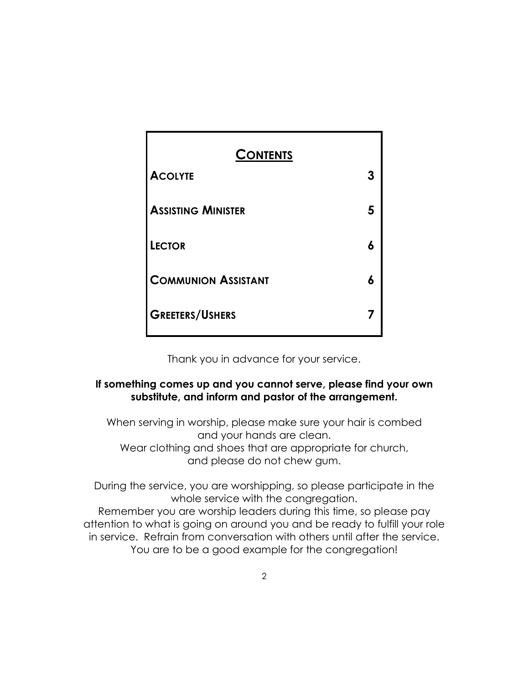| <b>CONTENTS</b>            |  |
|----------------------------|--|
| <b>ACOLYTE</b>             |  |
| <b>ASSISTING MINISTER</b>  |  |
| <b>LECTOR</b>              |  |
| <b>COMMUNION ASSISTANT</b> |  |
| <b>GREETERS/USHERS</b>     |  |

Thank you in advance for your service.

#### If something comes up and you cannot serve, please find your own substitute, and inform and pastor of the arrangement.

When serving in worship, please make sure your hair is combed and your hands are clean. Wear clothing and shoes that are appropriate for church, and please do not chew gum.

During the service, you are worshipping, so please participate in the whole service with the congregation.

Remember you are worship leaders during this time, so please pay attention to what is going on around you and be ready to fulfill your role in service. Refrain from conversation with others until after the service. You are to be a good example for the congregation!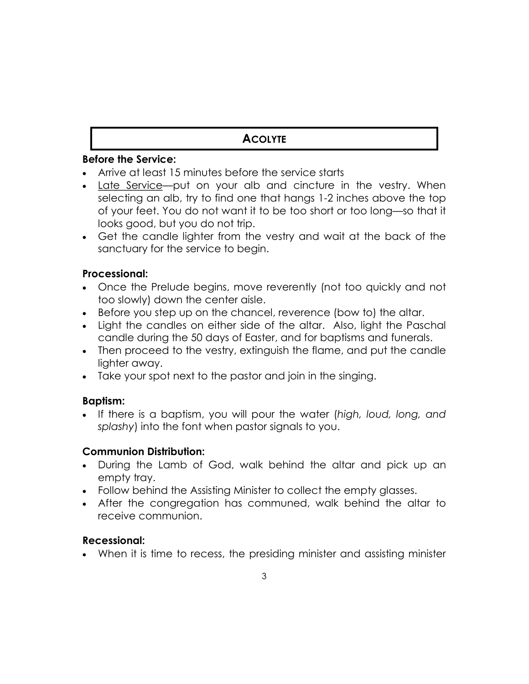## **ACOLYTE**

#### Before the Service:

- · Arrive at least 15 minutes before the service starts
- · Late Service—put on your alb and cincture in the vestry. When selecting an alb, try to find one that hangs 1-2 inches above the top of your feet. You do not want it to be too short or too long—so that it looks good, but you do not trip.
- · Get the candle lighter from the vestry and wait at the back of the sanctuary for the service to begin.

#### Processional:

- · Once the Prelude begins, move reverently (not too quickly and not too slowly) down the center aisle.
- · Before you step up on the chancel, reverence (bow to) the altar.
- · Light the candles on either side of the altar. Also, light the Paschal candle during the 50 days of Easter, and for baptisms and funerals.
- · Then proceed to the vestry, extinguish the flame, and put the candle lighter away.
- · Take your spot next to the pastor and join in the singing.

#### Baptism:

· If there is a baptism, you will pour the water (high, loud, long, and splashy) into the font when pastor signals to you.

#### Communion Distribution:

- · During the Lamb of God, walk behind the altar and pick up an empty tray.
- · Follow behind the Assisting Minister to collect the empty glasses.
- · After the congregation has communed, walk behind the altar to receive communion.

#### Recessional:

· When it is time to recess, the presiding minister and assisting minister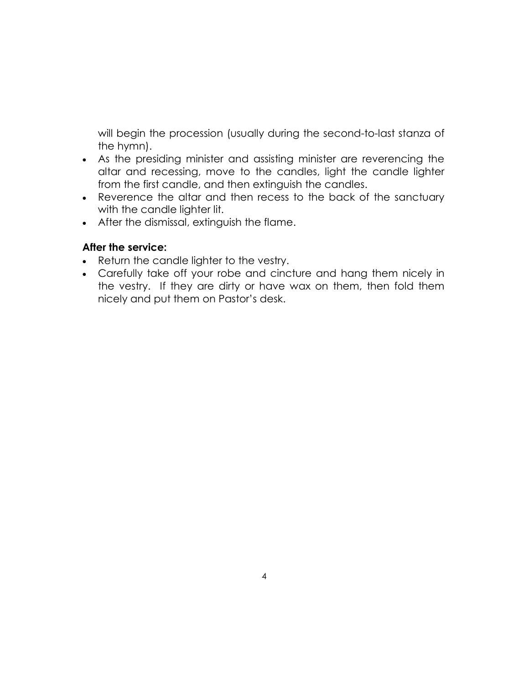will begin the procession (usually during the second-to-last stanza of the hymn).

- · As the presiding minister and assisting minister are reverencing the altar and recessing, move to the candles, light the candle lighter from the first candle, and then extinguish the candles.
- · Reverence the altar and then recess to the back of the sanctuary with the candle lighter lit.
- · After the dismissal, extinguish the flame.

#### After the service:

- · Return the candle lighter to the vestry.
- · Carefully take off your robe and cincture and hang them nicely in the vestry. If they are dirty or have wax on them, then fold them nicely and put them on Pastor's desk.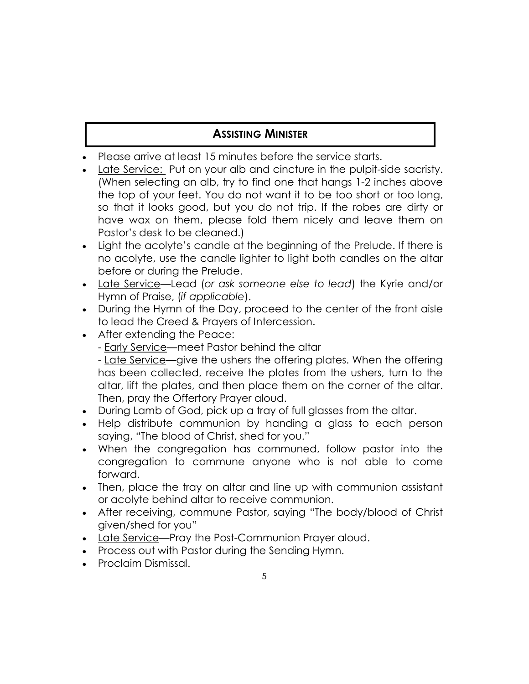## **ASSISTING MINISTER**

- · Please arrive at least 15 minutes before the service starts.
- Late Service: Put on your alb and cincture in the pulpit-side sacristy. (When selecting an alb, try to find one that hangs 1-2 inches above the top of your feet. You do not want it to be too short or too long, so that it looks good, but you do not trip. If the robes are dirty or have wax on them, please fold them nicely and leave them on Pastor's desk to be cleaned.)
- · Light the acolyte's candle at the beginning of the Prelude. If there is no acolyte, use the candle lighter to light both candles on the altar before or during the Prelude.
- Late Service-Lead (or ask someone else to lead) the Kyrie and/or Hymn of Praise, (if applicable).
- · During the Hymn of the Day, proceed to the center of the front aisle to lead the Creed & Prayers of Intercession.
- · After extending the Peace:
	- Early Service—meet Pastor behind the altar

- Late Service—give the ushers the offering plates. When the offering has been collected, receive the plates from the ushers, turn to the altar, lift the plates, and then place them on the corner of the altar. Then, pray the Offertory Prayer aloud.

- · During Lamb of God, pick up a tray of full glasses from the altar.
- Help distribute communion by handing a glass to each person saying, "The blood of Christ, shed for you."
- When the congregation has communed, follow pastor into the congregation to commune anyone who is not able to come forward.
- · Then, place the tray on altar and line up with communion assistant or acolyte behind altar to receive communion.
- · After receiving, commune Pastor, saying "The body/blood of Christ given/shed for you"
- · Late Service—Pray the Post-Communion Prayer aloud.
- · Process out with Pastor during the Sending Hymn.
- · Proclaim Dismissal.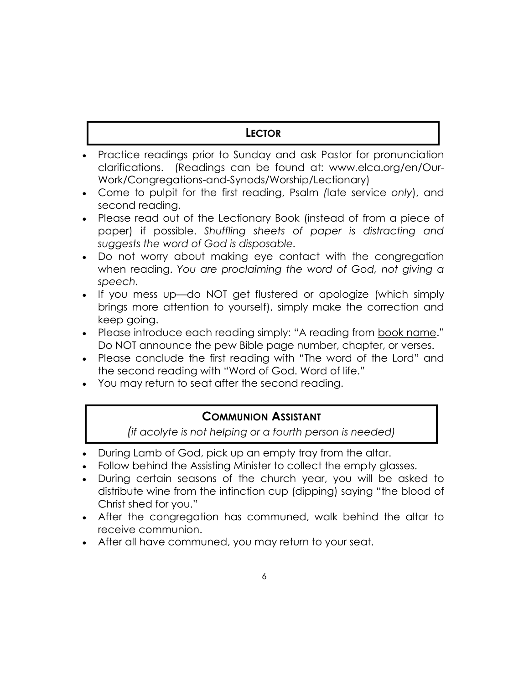## **LECTOR**

- · Practice readings prior to Sunday and ask Pastor for pronunciation clarifications. (Readings can be found at: www.elca.org/en/Our-Work/Congregations-and-Synods/Worship/Lectionary)
- · Come to pulpit for the first reading, Psalm (late service only), and second reading.
- · Please read out of the Lectionary Book (instead of from a piece of paper) if possible. Shuffling sheets of paper is distracting and suggests the word of God is disposable.
- · Do not worry about making eye contact with the congregation when reading. You are proclaiming the word of God, not giving a speech.
- · If you mess up—do NOT get flustered or apologize (which simply brings more attention to yourself), simply make the correction and keep going.
- · Please introduce each reading simply: "A reading from book name." Do NOT announce the pew Bible page number, chapter, or verses.
- · Please conclude the first reading with "The word of the Lord" and the second reading with "Word of God. Word of life."
- · You may return to seat after the second reading.

## COMMUNION ASSISTANT

(if acolyte is not helping or a fourth person is needed)

- · During Lamb of God, pick up an empty tray from the altar.
- Follow behind the Assisting Minister to collect the empty glasses.
- · During certain seasons of the church year, you will be asked to distribute wine from the intinction cup (dipping) saying "the blood of Christ shed for you."
- · After the congregation has communed, walk behind the altar to receive communion.
- · After all have communed, you may return to your seat.